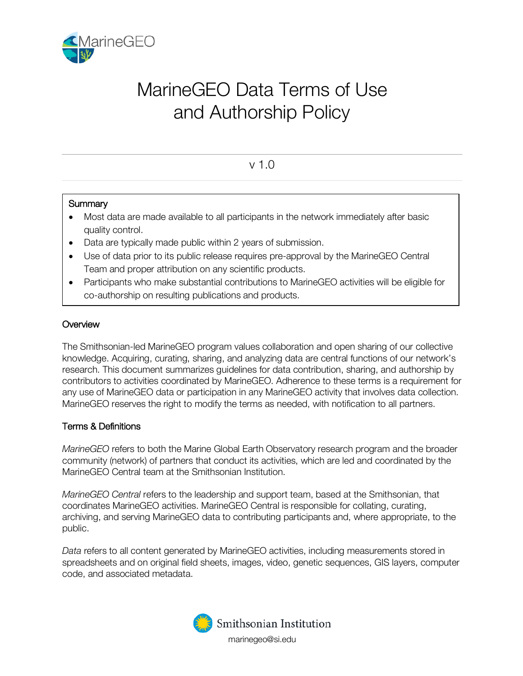

# MarineGEO Data Terms of Use and Authorship Policy

# v 1.0

## **Summary**

- Most data are made available to all participants in the network immediately after basic quality control.
- Data are typically made public within 2 years of submission.
- Use of data prior to its public release requires pre-approval by the MarineGEO Central Team and proper attribution on any scientific products.
- Participants who make substantial contributions to MarineGEO activities will be eligible for co-authorship on resulting publications and products.

# **Overview**

The Smithsonian-led MarineGEO program values collaboration and open sharing of our collective knowledge. Acquiring, curating, sharing, and analyzing data are central functions of our network's research. This document summarizes guidelines for data contribution, sharing, and authorship by contributors to activities coordinated by MarineGEO. Adherence to these terms is a requirement for any use of MarineGEO data or participation in any MarineGEO activity that involves data collection. MarineGEO reserves the right to modify the terms as needed, with notification to all partners.

# Terms & Definitions

*MarineGEO* refers to both the Marine Global Earth Observatory research program and the broader community (network) of partners that conduct its activities, which are led and coordinated by the MarineGEO Central team at the Smithsonian Institution.

*MarineGEO Central* refers to the leadership and support team, based at the Smithsonian, that coordinates MarineGEO activities. MarineGEO Central is responsible for collating, curating, archiving, and serving MarineGEO data to contributing participants and, where appropriate, to the public.

*Data* refers to all content generated by MarineGEO activities, including measurements stored in spreadsheets and on original field sheets, images, video, genetic sequences, GIS layers, computer code, and associated metadata.

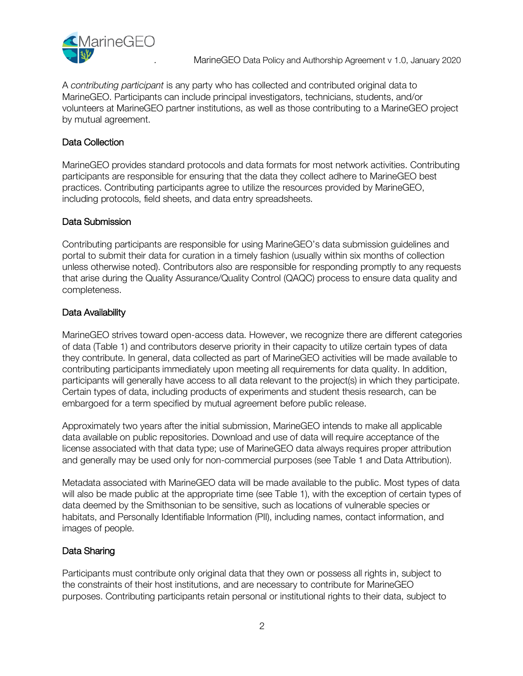

A *contributing participant* is any party who has collected and contributed original data to MarineGEO. Participants can include principal investigators, technicians, students, and/or volunteers at MarineGEO partner institutions, as well as those contributing to a MarineGEO project by mutual agreement.

#### Data Collection

MarineGEO provides standard protocols and data formats for most network activities. Contributing participants are responsible for ensuring that the data they collect adhere to MarineGEO best practices. Contributing participants agree to utilize the resources provided by MarineGEO, including protocols, field sheets, and data entry spreadsheets.

#### Data Submission

Contributing participants are responsible for using MarineGEO's data submission guidelines and portal to submit their data for curation in a timely fashion (usually within six months of collection unless otherwise noted). Contributors also are responsible for responding promptly to any requests that arise during the Quality Assurance/Quality Control (QAQC) process to ensure data quality and completeness.

#### Data Availability

MarineGEO strives toward open-access data. However, we recognize there are different categories of data (Table 1) and contributors deserve priority in their capacity to utilize certain types of data they contribute. In general, data collected as part of MarineGEO activities will be made available to contributing participants immediately upon meeting all requirements for data quality. In addition, participants will generally have access to all data relevant to the project(s) in which they participate. Certain types of data, including products of experiments and student thesis research, can be embargoed for a term specified by mutual agreement before public release.

Approximately two years after the initial submission, MarineGEO intends to make all applicable data available on public repositories. Download and use of data will require acceptance of the license associated with that data type; use of MarineGEO data always requires proper attribution and generally may be used only for non-commercial purposes (see Table 1 and Data Attribution).

Metadata associated with MarineGEO data will be made available to the public. Most types of data will also be made public at the appropriate time (see Table 1), with the exception of certain types of data deemed by the Smithsonian to be sensitive, such as locations of vulnerable species or habitats, and Personally Identifiable Information (PII), including names, contact information, and images of people.

# Data Sharing

Participants must contribute only original data that they own or possess all rights in, subject to the constraints of their host institutions, and are necessary to contribute for MarineGEO purposes. Contributing participants retain personal or institutional rights to their data, subject to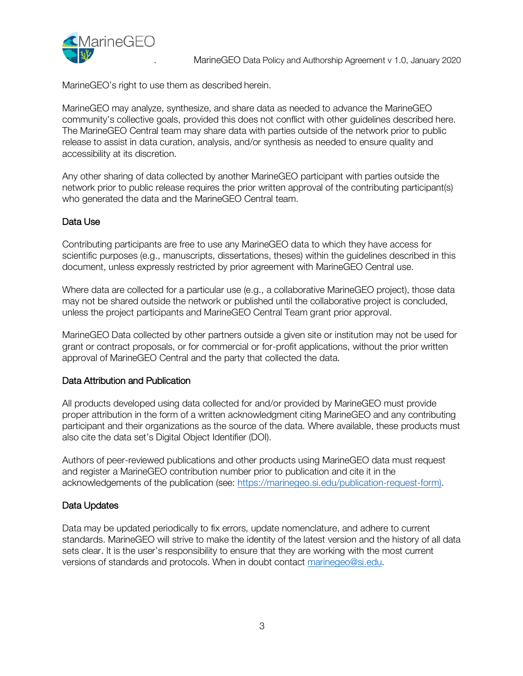

MarineGEO's right to use them as described herein.

MarineGEO may analyze, synthesize, and share data as needed to advance the MarineGEO community's collective goals, provided this does not conflict with other guidelines described here. The MarineGEO Central team may share data with parties outside of the network prior to public release to assist in data curation, analysis, and/or synthesis as needed to ensure quality and accessibility at its discretion.

Any other sharing of data collected by another MarineGEO participant with parties outside the network prior to public release requires the prior written approval of the contributing participant(s) who generated the data and the MarineGEO Central team.

## Data Use

Contributing participants are free to use any MarineGEO data to which they have access for scientific purposes (e.g., manuscripts, dissertations, theses) within the guidelines described in this document, unless expressly restricted by prior agreement with MarineGEO Central use.

Where data are collected for a particular use (e.g., a collaborative MarineGEO project), those data may not be shared outside the network or published until the collaborative project is concluded, unless the project participants and MarineGEO Central Team grant prior approval.

MarineGEO Data collected by other partners outside a given site or institution may not be used for grant or contract proposals, or for commercial or for-profit applications, without the prior written approval of MarineGEO Central and the party that collected the data.

#### Data Attribution and Publication

All products developed using data collected for and/or provided by MarineGEO must provide proper attribution in the form of a written acknowledgment citing MarineGEO and any contributing participant and their organizations as the source of the data. Where available, these products must also cite the data set's Digital Object Identifier (DOI).

Authors of peer-reviewed publications and other products using MarineGEO data must request and register a MarineGEO contribution number prior to publication and cite it in the acknowledgements of the publication (see: https://marinegeo.si.edu/publication-request-form).

#### Data Updates

Data may be updated periodically to fix errors, update nomenclature, and adhere to current standards. MarineGEO will strive to make the identity of the latest version and the history of all data sets clear. It is the user's responsibility to ensure that they are working with the most current versions of standards and protocols. When in doubt contact marinegeo@si.edu.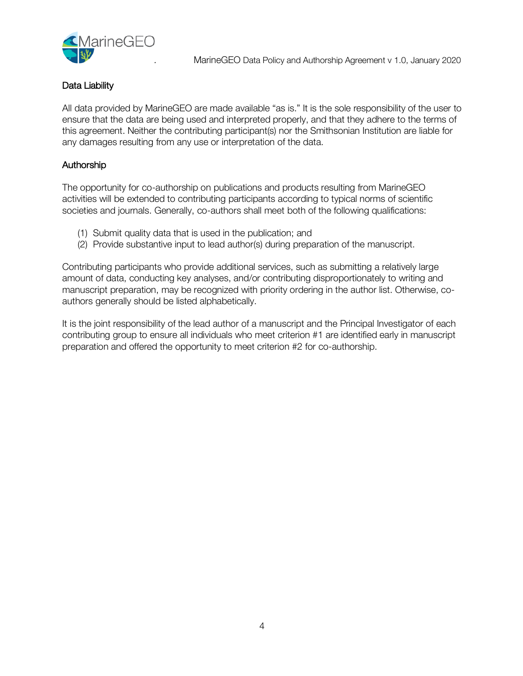

#### Data Liability

All data provided by MarineGEO are made available "as is." It is the sole responsibility of the user to ensure that the data are being used and interpreted properly, and that they adhere to the terms of this agreement. Neither the contributing participant(s) nor the Smithsonian Institution are liable for any damages resulting from any use or interpretation of the data.

# Authorship

The opportunity for co-authorship on publications and products resulting from MarineGEO activities will be extended to contributing participants according to typical norms of scientific societies and journals. Generally, co-authors shall meet both of the following qualifications:

- (1) Submit quality data that is used in the publication; and
- (2) Provide substantive input to lead author(s) during preparation of the manuscript.

Contributing participants who provide additional services, such as submitting a relatively large amount of data, conducting key analyses, and/or contributing disproportionately to writing and manuscript preparation, may be recognized with priority ordering in the author list. Otherwise, coauthors generally should be listed alphabetically.

It is the joint responsibility of the lead author of a manuscript and the Principal Investigator of each contributing group to ensure all individuals who meet criterion #1 are identified early in manuscript preparation and offered the opportunity to meet criterion #2 for co-authorship.